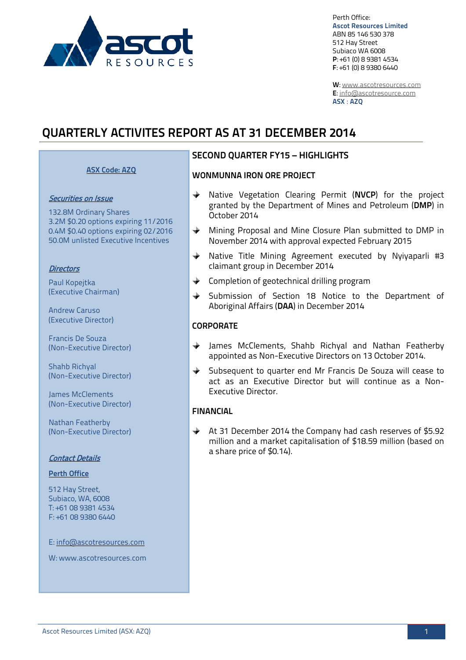

Perth Office: **Ascot Resources Limited** ABN 85 146 530 378 512 Hay Street Subiaco WA 6008 **P**: +61 (0) 8 9381 4534 **F**: +61 (0) 8 9380 6440

**W**: [www.ascotresources.com](http://www.ascotresources.com/) **E**[: info@ascotresource.com](mailto:info@ascotresource.com) **ASX** : **AZQ**

# **QUARTERLY ACTIVITES REPORT AS AT 31 DECEMBER 2014**

## **ASX Code: AZQ**

#### Securities on Issue

132.8M Ordinary Shares 3.2M \$0.20 options expiring 11/2016 0.4M \$0.40 options expiring 02/2016 50.0M unlisted Executive Incentives

#### **Directors**

Paul Kopejtka (Executive Chairman)

Andrew Caruso (Executive Director)

Francis De Souza (Non-Executive Director)

Shahb Richyal (Non-Executive Director)

James McClements (Non-Executive Director)

Nathan Featherby (Non-Executive Director)

#### Contact Details

#### **Perth Office**

512 Hay Street, Subiaco, WA, 6008 T: +61 08 9381 4534 F: +61 08 9380 6440

E: info@ascotresources.com

W: www.ascotresources.com

# **SECOND QUARTER FY15 – HIGHLIGHTS**

#### **WONMUNNA IRON ORE PROJECT**

- $\ddotplus$ Native Vegetation Clearing Permit (**NVCP**) for the project granted by the Department of Mines and Petroleum (**DMP**) in October 2014
- ⊕ Mining Proposal and Mine Closure Plan submitted to DMP in November 2014 with approval expected February 2015
- Native Title Mining Agreement executed by Nyiyaparli #3 claimant group in December 2014
- $\triangle$  Completion of geotechnical drilling program
- $+$ Submission of Section 18 Notice to the Department of Aboriginal Affairs (**DAA**) in December 2014

## **CORPORATE**

- James McClements, Shahb Richyal and Nathan Featherby appointed as Non-Executive Directors on 13 October 2014.
- Subsequent to quarter end Mr Francis De Souza will cease to act as an Executive Director but will continue as a Non-Executive Director.

## **FINANCIAL**

At 31 December 2014 the Company had cash reserves of \$5.92 million and a market capitalisation of \$18.59 million (based on a share price of \$0.14).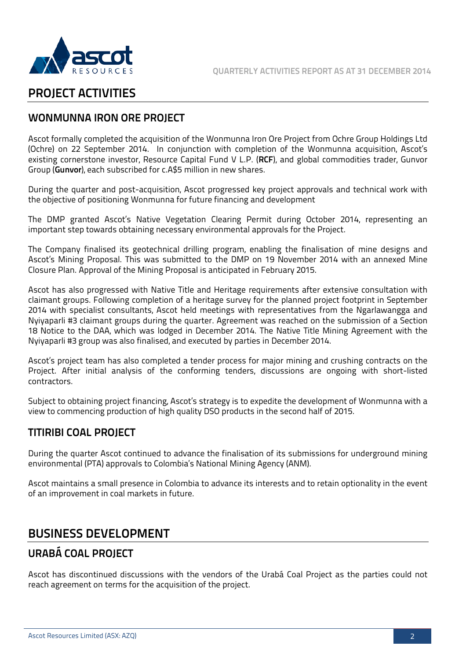

# **PROJECT ACTIVITIES**

# **WONMUNNA IRON ORE PROJECT**

Ascot formally completed the acquisition of the Wonmunna Iron Ore Project from Ochre Group Holdings Ltd (Ochre) on 22 September 2014. In conjunction with completion of the Wonmunna acquisition, Ascot's existing cornerstone investor, Resource Capital Fund V L.P. (**RCF**), and global commodities trader, Gunvor Group (**Gunvor**), each subscribed for c.A\$5 million in new shares.

During the quarter and post-acquisition, Ascot progressed key project approvals and technical work with the objective of positioning Wonmunna for future financing and development

The DMP granted Ascot's Native Vegetation Clearing Permit during October 2014, representing an important step towards obtaining necessary environmental approvals for the Project.

The Company finalised its geotechnical drilling program, enabling the finalisation of mine designs and Ascot's Mining Proposal. This was submitted to the DMP on 19 November 2014 with an annexed Mine Closure Plan. Approval of the Mining Proposal is anticipated in February 2015.

Ascot has also progressed with Native Title and Heritage requirements after extensive consultation with claimant groups. Following completion of a heritage survey for the planned project footprint in September 2014 with specialist consultants, Ascot held meetings with representatives from the Ngarlawangga and Nyiyaparli #3 claimant groups during the quarter. Agreement was reached on the submission of a Section 18 Notice to the DAA, which was lodged in December 2014. The Native Title Mining Agreement with the Nyiyaparli #3 group was also finalised, and executed by parties in December 2014.

Ascot's project team has also completed a tender process for major mining and crushing contracts on the Project. After initial analysis of the conforming tenders, discussions are ongoing with short-listed contractors.

Subject to obtaining project financing, Ascot's strategy is to expedite the development of Wonmunna with a view to commencing production of high quality DSO products in the second half of 2015.

# **TITIRIBI COAL PROJECT**

During the quarter Ascot continued to advance the finalisation of its submissions for underground mining environmental (PTA) approvals to Colombia's National Mining Agency (ANM).

Ascot maintains a small presence in Colombia to advance its interests and to retain optionality in the event of an improvement in coal markets in future.

# **BUSINESS DEVELOPMENT**

# **URABÁ COAL PROJECT**

Ascot has discontinued discussions with the vendors of the Urabá Coal Project as the parties could not reach agreement on terms for the acquisition of the project.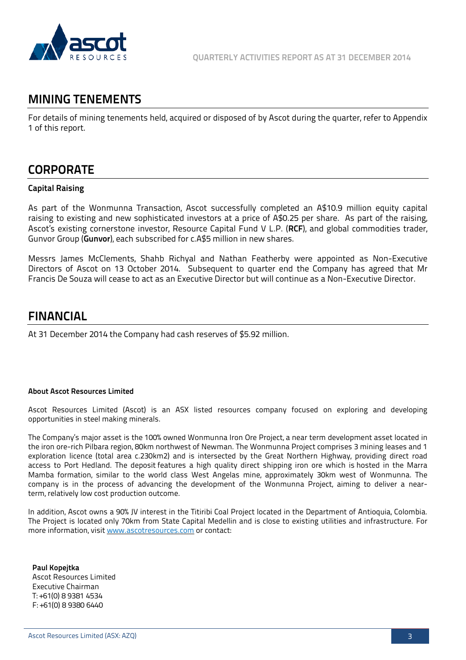

# **MINING TENEMENTS**

For details of mining tenements held, acquired or disposed of by Ascot during the quarter, refer to Appendix 1 of this report.

# **CORPORATE**

# **Capital Raising**

As part of the Wonmunna Transaction, Ascot successfully completed an A\$10.9 million equity capital raising to existing and new sophisticated investors at a price of A\$0.25 per share. As part of the raising, Ascot's existing cornerstone investor, Resource Capital Fund V L.P. (**RCF**), and global commodities trader, Gunvor Group (**Gunvor**), each subscribed for c.A\$5 million in new shares.

Messrs James McClements, Shahb Richyal and Nathan Featherby were appointed as Non-Executive Directors of Ascot on 13 October 2014. Subsequent to quarter end the Company has agreed that Mr Francis De Souza will cease to act as an Executive Director but will continue as a Non-Executive Director.

# **FINANCIAL**

At 31 December 2014 the Company had cash reserves of \$5.92 million.

#### **About Ascot Resources Limited**

Ascot Resources Limited (Ascot) is an ASX listed resources company focused on exploring and developing opportunities in steel making minerals.

The Company's major asset is the 100% owned Wonmunna Iron Ore Project, a near term development asset located in the iron ore-rich Pilbara region, 80km northwest of Newman. The Wonmunna Project comprises 3 mining leases and 1 exploration licence (total area c.230km2) and is intersected by the Great Northern Highway, providing direct road access to Port Hedland. The deposit features a high quality direct shipping iron ore which is hosted in the Marra Mamba formation, similar to the world class West Angelas mine, approximately 30km west of Wonmunna. The company is in the process of advancing the development of the Wonmunna Project, aiming to deliver a nearterm, relatively low cost production outcome.

In addition, Ascot owns a 90% JV interest in the Titiribi Coal Project located in the Department of Antioquia, Colombia. The Project is located only 70km from State Capital Medellin and is close to existing utilities and infrastructure. For more information, visi[t www.ascotresources.com](http://www.ascotresources.com/) or contact:

**Paul Kopejtka** Ascot Resources Limited Executive Chairman T: +61(0) 8 9381 4534 F: +61(0) 8 9380 6440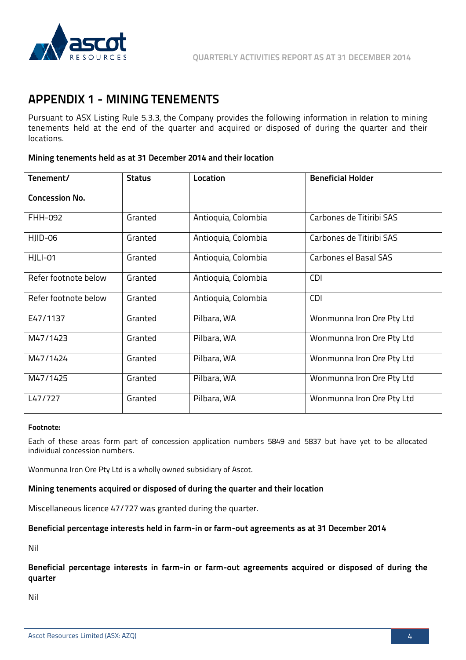

# **APPENDIX 1 - MINING TENEMENTS**

Pursuant to ASX Listing Rule 5.3.3, the Company provides the following information in relation to mining tenements held at the end of the quarter and acquired or disposed of during the quarter and their locations.

## **Mining tenements held as at 31 December 2014 and their location**

| Tenement/             | <b>Status</b> | Location            | <b>Beneficial Holder</b>  |
|-----------------------|---------------|---------------------|---------------------------|
| <b>Concession No.</b> |               |                     |                           |
| FHH-092               | Granted       | Antioquia, Colombia | Carbones de Titiribi SAS  |
| HJID-06               | Granted       | Antioquia, Colombia | Carbones de Titiribi SAS  |
| HJLI-01               | Granted       | Antioquia, Colombia | Carbones el Basal SAS     |
| Refer footnote below  | Granted       | Antioquia, Colombia | <b>CDI</b>                |
| Refer footnote below  | Granted       | Antioquia, Colombia | <b>CDI</b>                |
| E47/1137              | Granted       | Pilbara, WA         | Wonmunna Iron Ore Pty Ltd |
| M47/1423              | Granted       | Pilbara, WA         | Wonmunna Iron Ore Pty Ltd |
| M47/1424              | Granted       | Pilbara, WA         | Wonmunna Iron Ore Pty Ltd |
| M47/1425              | Granted       | Pilbara, WA         | Wonmunna Iron Ore Pty Ltd |
| L47/727               | Granted       | Pilbara, WA         | Wonmunna Iron Ore Pty Ltd |

## **Footnote:**

Each of these areas form part of concession application numbers 5849 and 5837 but have yet to be allocated individual concession numbers.

Wonmunna Iron Ore Pty Ltd is a wholly owned subsidiary of Ascot.

#### **Mining tenements acquired or disposed of during the quarter and their location**

Miscellaneous licence 47/727 was granted during the quarter.

#### **Beneficial percentage interests held in farm-in or farm-out agreements as at 31 December 2014**

Nil

**Beneficial percentage interests in farm-in or farm-out agreements acquired or disposed of during the quarter** 

Nil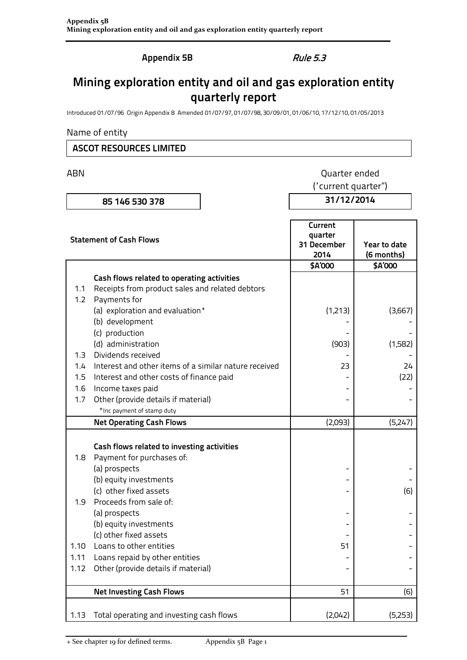**Appendix 5B** Rule 5.3

# **Mining exploration entity and oil and gas exploration entity quarterly report**

Introduced 01/07/96 Origin Appendix 8 Amended 01/07/97, 01/07/98, 30/09/01, 01/06/10, 17/12/10, 01/05/2013

## Name of entity

# **ASCOT RESOURCES LIMITED**

ABN **ABN** Quarter ended ("current quarter")

**85 146 530 378 31/12/2014**

| <b>Statement of Cash Flows</b> |                                                                   | Current<br>quarter<br>31 December<br>2014 | Year to date<br>(6 months) |  |
|--------------------------------|-------------------------------------------------------------------|-------------------------------------------|----------------------------|--|
|                                |                                                                   | \$A'000                                   | \$A'000                    |  |
|                                | Cash flows related to operating activities                        |                                           |                            |  |
| 1.1                            | Receipts from product sales and related debtors                   |                                           |                            |  |
| 1.2                            | Payments for                                                      |                                           |                            |  |
|                                | (a) exploration and evaluation*                                   | (1,213)                                   | (3,667)                    |  |
|                                | (b) development                                                   |                                           |                            |  |
|                                | (c) production                                                    |                                           |                            |  |
|                                | (d) administration                                                | (903)                                     | (1,582)                    |  |
| 1.3                            | Dividends received                                                |                                           |                            |  |
| 1.4                            | Interest and other items of a similar nature received             | 23                                        | 24                         |  |
| 1.5                            | Interest and other costs of finance paid                          |                                           | (22)                       |  |
| 1.6                            | Income taxes paid                                                 |                                           |                            |  |
| 1.7                            | Other (provide details if material)<br>*Inc payment of stamp duty |                                           |                            |  |
|                                |                                                                   |                                           |                            |  |
|                                | <b>Net Operating Cash Flows</b>                                   | (2,093)                                   | (5,247)                    |  |
|                                |                                                                   |                                           |                            |  |
|                                | Cash flows related to investing activities                        |                                           |                            |  |
| 1.8                            | Payment for purchases of:                                         |                                           |                            |  |
|                                | (a) prospects                                                     |                                           |                            |  |
|                                | (b) equity investments<br>(c) other fixed assets                  |                                           | (6)                        |  |
| 1.9                            | Proceeds from sale of:                                            |                                           |                            |  |
|                                | (a) prospects                                                     |                                           |                            |  |
|                                | (b) equity investments                                            |                                           |                            |  |
|                                | (c) other fixed assets                                            |                                           |                            |  |
| 1.10                           | Loans to other entities                                           | 51                                        |                            |  |
| 1.11                           | Loans repaid by other entities                                    |                                           |                            |  |
| 1.12                           | Other (provide details if material)                               |                                           |                            |  |
|                                |                                                                   |                                           |                            |  |
|                                | <b>Net Investing Cash Flows</b>                                   | 51                                        | (6)                        |  |
|                                |                                                                   |                                           |                            |  |
| 1.13                           | Total operating and investing cash flows                          | (2,042)                                   | (5,253)                    |  |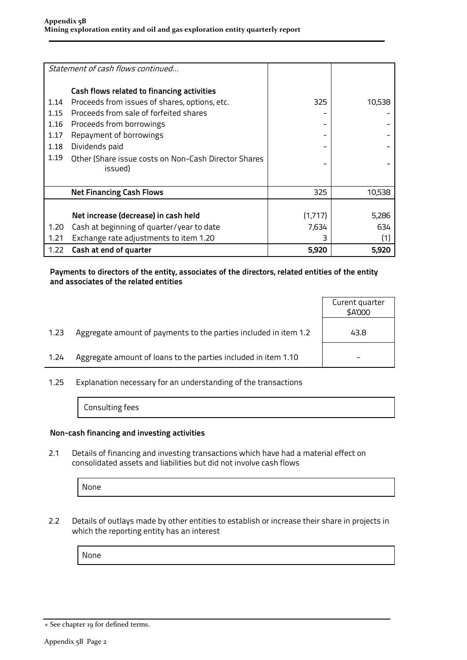|      | Statement of cash flows continued                    |         |        |
|------|------------------------------------------------------|---------|--------|
|      | Cash flows related to financing activities           |         |        |
| 1.14 | Proceeds from issues of shares, options, etc.        | 325     | 10,538 |
| 1.15 | Proceeds from sale of forfeited shares               |         |        |
| 1.16 | Proceeds from borrowings                             |         |        |
| 1.17 | Repayment of borrowings                              |         |        |
| 1.18 | Dividends paid                                       |         |        |
| 1.19 | Other (Share issue costs on Non-Cash Director Shares |         |        |
|      | issued)                                              |         |        |
|      |                                                      |         |        |
|      | <b>Net Financing Cash Flows</b>                      | 325     | 10,538 |
|      |                                                      |         |        |
|      | Net increase (decrease) in cash held                 | (1,717) | 5,286  |
| 1.20 | Cash at beginning of quarter/year to date            | 7,634   | 634    |
| 1.21 | Exchange rate adjustments to item 1.20               |         | (1)    |
| 1.22 | Cash at end of quarter                               | 5,920   | 5,920  |

## **Payments to directors of the entity, associates of the directors, related entities of the entity and associates of the related entities**

| Aggregate amount of payments to the parties included in item 1.2<br>1.23<br>43.8<br>Aggregate amount of loans to the parties included in item 1.10<br>1.24 |  | Curent quarter<br>\$A'000 |
|------------------------------------------------------------------------------------------------------------------------------------------------------------|--|---------------------------|
|                                                                                                                                                            |  |                           |
|                                                                                                                                                            |  |                           |

1.25 Explanation necessary for an understanding of the transactions

Consulting fees

#### **Non-cash financing and investing activities**

2.1 Details of financing and investing transactions which have had a material effect on consolidated assets and liabilities but did not involve cash flows

None

2.2 Details of outlays made by other entities to establish or increase their share in projects in which the reporting entity has an interest

None

<sup>+</sup> See chapter 19 for defined terms.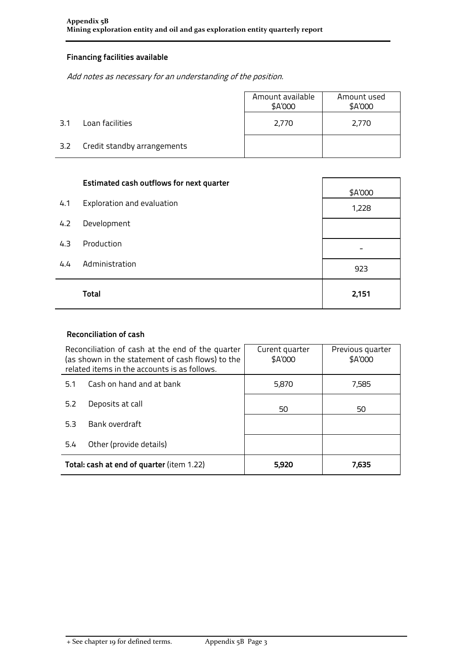# **Financing facilities available**

Add notes as necessary for an understanding of the position.

|        |                             | Amount available<br>\$A'000 | Amount used<br>\$A'000 |
|--------|-----------------------------|-----------------------------|------------------------|
| $-3.1$ | Loan facilities             | 2,770                       | 2,770                  |
| 3.2    | Credit standby arrangements |                             |                        |

|     | <b>Estimated cash outflows for next quarter</b> | \$A'000 |
|-----|-------------------------------------------------|---------|
| 4.1 | Exploration and evaluation                      | 1,228   |
| 4.2 | Development                                     |         |
| 4.3 | Production                                      |         |
| 4.4 | Administration                                  | 923     |
|     | <b>Total</b>                                    | 2,151   |

# **Reconciliation of cash**

| Reconciliation of cash at the end of the quarter<br>(as shown in the statement of cash flows) to the<br>related items in the accounts is as follows. |                                           | Curent quarter<br>\$A'000 | Previous quarter<br>\$A'000 |  |
|------------------------------------------------------------------------------------------------------------------------------------------------------|-------------------------------------------|---------------------------|-----------------------------|--|
| Cash on hand and at bank<br>5.1                                                                                                                      |                                           | 5,870                     | 7,585                       |  |
| Deposits at call<br>5.2                                                                                                                              |                                           | 50                        | 50                          |  |
| 5.3                                                                                                                                                  | Bank overdraft                            |                           |                             |  |
| Other (provide details)<br>5.4                                                                                                                       |                                           |                           |                             |  |
|                                                                                                                                                      | Total: cash at end of quarter (item 1.22) | 5,920                     | 7,635                       |  |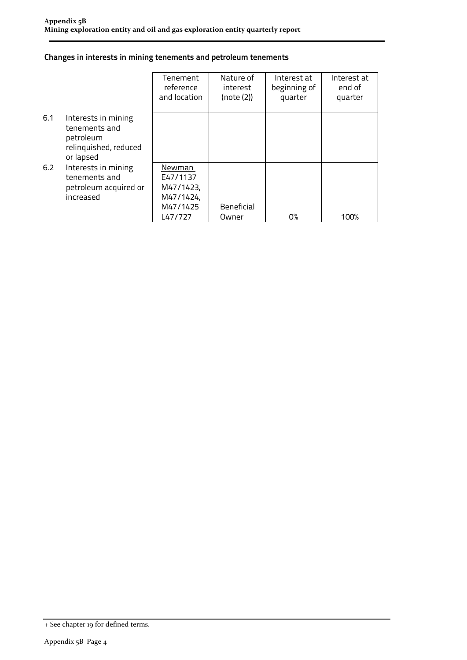## **Changes in interests in mining tenements and petroleum tenements**

|     |                                                                                         | Tenement<br>reference<br>and location                               | Nature of<br>interest<br>(note (2)) | Interest at<br>beginning of<br>quarter | Interest at<br>end of<br>quarter |
|-----|-----------------------------------------------------------------------------------------|---------------------------------------------------------------------|-------------------------------------|----------------------------------------|----------------------------------|
| 6.1 | Interests in mining<br>tenements and<br>petroleum<br>relinquished, reduced<br>or lapsed |                                                                     |                                     |                                        |                                  |
| 6.2 | Interests in mining<br>tenements and<br>petroleum acquired or<br>increased              | Newman<br>E47/1137<br>M47/1423,<br>M47/1424,<br>M47/1425<br>L47/727 | Beneficial<br>Owner                 | 0%                                     | 100%                             |

<sup>+</sup> See chapter 19 for defined terms.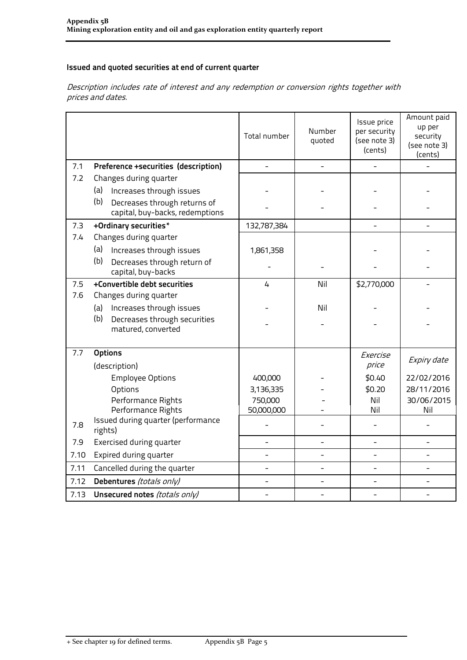# **Issued and quoted securities at end of current quarter**

Description includes rate of interest and any redemption or conversion rights together with prices and dates.

|      |                                                                        | Total number             | Number<br>quoted | Issue price<br>per security<br>(see note 3)<br>(cents) | Amount paid<br>up per<br>security<br>(see note 3)<br>(cents) |
|------|------------------------------------------------------------------------|--------------------------|------------------|--------------------------------------------------------|--------------------------------------------------------------|
| 7.1  | Preference +securities (description)                                   | $\overline{\phantom{0}}$ |                  |                                                        |                                                              |
| 7.2  | Changes during quarter                                                 |                          |                  |                                                        |                                                              |
|      | (a)<br>Increases through issues                                        |                          |                  |                                                        |                                                              |
|      | (b)<br>Decreases through returns of<br>capital, buy-backs, redemptions |                          |                  |                                                        |                                                              |
| 7.3  | +Ordinary securities*                                                  | 132,787,384              |                  |                                                        |                                                              |
| 7.4  | Changes during quarter                                                 |                          |                  |                                                        |                                                              |
|      | (a)<br>Increases through issues                                        | 1,861,358                |                  |                                                        |                                                              |
|      | (b)<br>Decreases through return of<br>capital, buy-backs               |                          |                  |                                                        |                                                              |
| 7.5  | +Convertible debt securities                                           | 4                        | Nil              | \$2,770,000                                            |                                                              |
| 7.6  | Changes during quarter                                                 |                          |                  |                                                        |                                                              |
|      | Increases through issues<br>(a)                                        |                          | Nil              |                                                        |                                                              |
|      | (b)<br>Decreases through securities<br>matured, converted              |                          |                  |                                                        |                                                              |
| 7.7  | <b>Options</b>                                                         |                          |                  |                                                        |                                                              |
|      | (description)                                                          |                          |                  | Exercise<br>price                                      | Expiry date                                                  |
|      | <b>Employee Options</b>                                                | 400,000                  |                  | \$0.40                                                 | 22/02/2016                                                   |
|      | Options                                                                | 3,136,335                |                  | \$0.20                                                 | 28/11/2016                                                   |
|      | Performance Rights                                                     | 750,000                  |                  | Nil                                                    | 30/06/2015                                                   |
|      | Performance Rights                                                     | 50,000,000               |                  | Nil                                                    | Nil                                                          |
| 7.8  | Issued during quarter (performance<br>rights)                          |                          |                  |                                                        |                                                              |
| 7.9  | Exercised during quarter                                               |                          |                  | $\overline{\phantom{0}}$                               |                                                              |
| 7.10 | Expired during quarter                                                 |                          |                  |                                                        |                                                              |
| 7.11 | Cancelled during the quarter                                           | $\overline{a}$           |                  |                                                        |                                                              |
| 7.12 | Debentures (totals only)                                               |                          |                  |                                                        |                                                              |
| 7.13 | Unsecured notes (totals only)                                          |                          |                  |                                                        |                                                              |